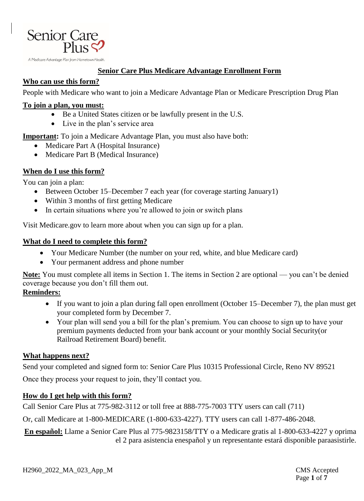

#### **Senior Care Plus Medicare Advantage Enrollment Form**

## **Who can use this form?**

People with Medicare who want to join a Medicare Advantage Plan or Medicare Prescription Drug Plan

#### **To join a plan, you must:**

- Be a United States citizen or be lawfully present in the U.S.
- Live in the plan's service area

**Important:** To join a Medicare Advantage Plan, you must also have both:

- Medicare Part A (Hospital Insurance)
- Medicare Part B (Medical Insurance)

## **When do I use this form?**

You can join a plan:

- Between October 15–December 7 each year (for coverage starting January1)
- Within 3 months of first getting Medicare
- In certain situations where you're allowed to join or switch plans

Visit Medicare.gov to learn more about when you can sign up for a plan.

#### **What do I need to complete this form?**

- Your Medicare Number (the number on your red, white, and blue Medicare card)
- Your permanent address and phone number

**Note:** You must complete all items in Section 1. The items in Section 2 are optional — you can't be denied coverage because you don't fill them out.

#### **Reminders:**

- If you want to join a plan during fall open enrollment (October 15–December 7), the plan must get your completed form by December 7.
- Your plan will send you a bill for the plan's premium. You can choose to sign up to have your premium payments deducted from your bank account or your monthly Social Security(or Railroad Retirement Board) benefit.

## **What happens next?**

Send your completed and signed form to: Senior Care Plus 10315 Professional Circle, Reno NV 89521

Once they process your request to join, they'll contact you.

## **How do I get help with this form?**

Call Senior Care Plus at 775-982-3112 or toll free at 888-775-7003 TTY users can call (711)

Or, call Medicare at 1-800-MEDICARE (1-800-633-4227). TTY users can call 1-877-486-2048.

**En español:** Llame a Senior Care Plus al 775-9823158/TTY o a Medicare gratis al 1-800-633-4227 y oprima el 2 para asistencia enespañol y un representante estará disponible paraasistirle.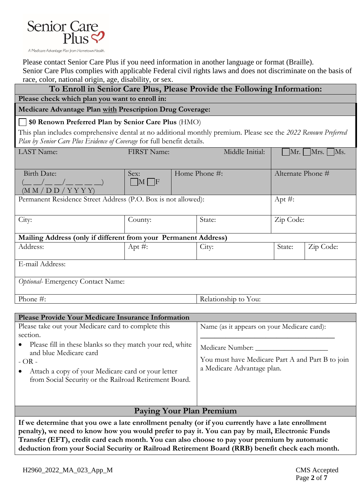

Please contact Senior Care Plus if you need information in another language or format (Braille).

Senior Care Plus complies with applicable Federal civil rights laws and does not discriminate on the basis of race, color, national origin, age, disability, or sex.

| race, color, matronal origin, age, aloaointy, or bent<br>To Enroll in Senior Care Plus, Please Provide the Following Information:                                                         |                 |                      |                 |                                      |           |  |
|-------------------------------------------------------------------------------------------------------------------------------------------------------------------------------------------|-----------------|----------------------|-----------------|--------------------------------------|-----------|--|
| Please check which plan you want to enroll in:                                                                                                                                            |                 |                      |                 |                                      |           |  |
| Medicare Advantage Plan with Prescription Drug Coverage:                                                                                                                                  |                 |                      |                 |                                      |           |  |
| \$0 Renown Preferred Plan by Senior Care Plus (HMO)                                                                                                                                       |                 |                      |                 |                                      |           |  |
| This plan includes comprehensive dental at no additional monthly premium. Please see the 2022 Renown Preferred<br>Plan by Senior Care Plus Evidence of Coverage for full benefit details. |                 |                      |                 |                                      |           |  |
| LAST Name:                                                                                                                                                                                | FIRST Name:     |                      | Middle Initial: | $\vert$ Mr. $\vert$ Mrs. $\vert$ Ms. |           |  |
|                                                                                                                                                                                           |                 |                      |                 |                                      |           |  |
| Birth Date:                                                                                                                                                                               | Sex:            | Home Phone #:        |                 | Alternate Phone #                    |           |  |
| (M M / D D / Y Y Y)                                                                                                                                                                       | $\Box M \Box F$ |                      |                 |                                      |           |  |
| Permanent Residence Street Address (P.O. Box is not allowed):<br>Apt $#$ :                                                                                                                |                 |                      |                 |                                      |           |  |
| City:                                                                                                                                                                                     | County:         |                      | State:          | Zip Code:                            |           |  |
|                                                                                                                                                                                           |                 |                      |                 |                                      |           |  |
| Mailing Address (only if different from your Permanent Address)                                                                                                                           |                 |                      |                 |                                      |           |  |
| Address:                                                                                                                                                                                  | Apt $#$ :       |                      | City:           | State:                               | Zip Code: |  |
| E-mail Address:                                                                                                                                                                           |                 |                      |                 |                                      |           |  |
| Optional- Emergency Contact Name:                                                                                                                                                         |                 |                      |                 |                                      |           |  |
| Phone #:                                                                                                                                                                                  |                 | Relationship to You: |                 |                                      |           |  |
|                                                                                                                                                                                           |                 |                      |                 |                                      |           |  |

| Please Provide Your Medicare Insurance Information                                                                                                                                                                         |                                                                                                    |  |  |  |
|----------------------------------------------------------------------------------------------------------------------------------------------------------------------------------------------------------------------------|----------------------------------------------------------------------------------------------------|--|--|--|
| Please take out your Medicare card to complete this                                                                                                                                                                        | Name (as it appears on your Medicare card):                                                        |  |  |  |
| section.<br>Please fill in these blanks so they match your red, white<br>and blue Medicare card<br>$-OR -$<br>Attach a copy of your Medicare card or your letter<br>from Social Security or the Railroad Retirement Board. | Medicare Number:<br>You must have Medicare Part A and Part B to join<br>a Medicare Advantage plan. |  |  |  |

# **Paying Your Plan Premium**

**If we determine that you owe a late enrollment penalty (or if you currently have a late enrollment penalty), we need to know how you would prefer to pay it. You can pay by mail, Electronic Funds Transfer (EFT), credit card each month. You can also choose to pay your premium by automatic deduction from your Social Security or Railroad Retirement Board (RRB) benefit check each month.**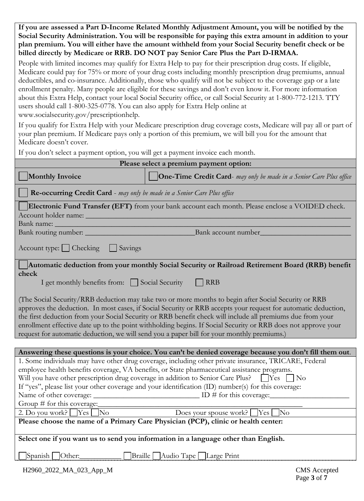**If you are assessed a Part D-Income Related Monthly Adjustment Amount, you will be notified by the Social Security Administration. You will be responsible for paying this extra amount in addition to your plan premium. You will either have the amount withheld from your Social Security benefit check or be billed directly by Medicare or RRB. DO NOT pay Senior Care Plus the Part D-IRMAA.**

People with limited incomes may qualify for Extra Help to pay for their prescription drug costs. If eligible, Medicare could pay for 75% or more of your drug costs including monthly prescription drug premiums, annual deductibles, and co-insurance. Additionally, those who qualify will not be subject to the coverage gap or a late enrollment penalty. Many people are eligible for these savings and don't even know it. For more information about this Extra Help, contact your local Social Security office, or call Social Security at 1-800-772-1213. TTY users should call 1-800-325-0778. You can also apply for Extra Help online at www.socialsecurity.gov/prescriptionhelp.

If you qualify for Extra Help with your Medicare prescription drug coverage costs, Medicare will pay all or part of your plan premium. If Medicare pays only a portion of this premium, we will bill you for the amount that Medicare doesn't cover.

If you don't select a payment option, you will get a payment invoice each month.

| Please select a premium payment option:                                                                                                                                                                                                                                                                                                                                                                                                                                                                                                             |                                                                                                         |  |  |  |  |
|-----------------------------------------------------------------------------------------------------------------------------------------------------------------------------------------------------------------------------------------------------------------------------------------------------------------------------------------------------------------------------------------------------------------------------------------------------------------------------------------------------------------------------------------------------|---------------------------------------------------------------------------------------------------------|--|--|--|--|
| <b>Monthly Invoice</b>                                                                                                                                                                                                                                                                                                                                                                                                                                                                                                                              | <b>One-Time Credit Card-</b> may only be made in a Senior Care Plus office                              |  |  |  |  |
| Re-occurring Credit Card - may only be made in a Senior Care Plus office                                                                                                                                                                                                                                                                                                                                                                                                                                                                            |                                                                                                         |  |  |  |  |
| Electronic Fund Transfer (EFT) from your bank account each month. Please enclose a VOIDED check.                                                                                                                                                                                                                                                                                                                                                                                                                                                    |                                                                                                         |  |  |  |  |
| Account holder name:<br>Bank name:                                                                                                                                                                                                                                                                                                                                                                                                                                                                                                                  |                                                                                                         |  |  |  |  |
| Bank routing number:                                                                                                                                                                                                                                                                                                                                                                                                                                                                                                                                | Bank account number_                                                                                    |  |  |  |  |
| Savings<br>$\text{Account type: } \bigsqcup \text{Checking}$                                                                                                                                                                                                                                                                                                                                                                                                                                                                                        |                                                                                                         |  |  |  |  |
|                                                                                                                                                                                                                                                                                                                                                                                                                                                                                                                                                     | Automatic deduction from your monthly Social Security or Railroad Retirement Board (RRB) benefit        |  |  |  |  |
| check                                                                                                                                                                                                                                                                                                                                                                                                                                                                                                                                               |                                                                                                         |  |  |  |  |
| I get monthly benefits from: Social Security                                                                                                                                                                                                                                                                                                                                                                                                                                                                                                        | <b>RRB</b>                                                                                              |  |  |  |  |
| (The Social Security/RRB deduction may take two or more months to begin after Social Security or RRB<br>approves the deduction. In most cases, if Social Security or RRB accepts your request for automatic deduction,<br>the first deduction from your Social Security or RRB benefit check will include all premiums due from your<br>enrollment effective date up to the point withholding begins. If Social Security or RRB does not approve your<br>request for automatic deduction, we will send you a paper bill for your monthly premiums.) |                                                                                                         |  |  |  |  |
|                                                                                                                                                                                                                                                                                                                                                                                                                                                                                                                                                     |                                                                                                         |  |  |  |  |
|                                                                                                                                                                                                                                                                                                                                                                                                                                                                                                                                                     | Answering these questions is your choice. You can't be denied coverage because you don't fill them out. |  |  |  |  |
|                                                                                                                                                                                                                                                                                                                                                                                                                                                                                                                                                     | 1. Some individuals may have other drug coverage, including other private insurance, TRICARE, Federal   |  |  |  |  |
|                                                                                                                                                                                                                                                                                                                                                                                                                                                                                                                                                     | employee health benefits coverage, VA benefits, or State pharmaceutical assistance programs.            |  |  |  |  |
| Will you have other prescription drug coverage in addition to Senior Care Plus? [Yes]<br>$\overline{N_{0}}$                                                                                                                                                                                                                                                                                                                                                                                                                                         |                                                                                                         |  |  |  |  |
| If "yes", please list your other coverage and your identification (ID) number(s) for this coverage:                                                                                                                                                                                                                                                                                                                                                                                                                                                 |                                                                                                         |  |  |  |  |
| Name of other coverage:                                                                                                                                                                                                                                                                                                                                                                                                                                                                                                                             | $\Box$ ID # for this coverage:                                                                          |  |  |  |  |
| Group # for this coverage:                                                                                                                                                                                                                                                                                                                                                                                                                                                                                                                          |                                                                                                         |  |  |  |  |
| 2. Do you work? $Yes$<br>$\overline{\text{No}}$<br>Does your spouse work?<br> Yes <br>$\overline{\rm No}$                                                                                                                                                                                                                                                                                                                                                                                                                                           |                                                                                                         |  |  |  |  |
| Please choose the name of a Primary Care Physician (PCP), clinic or health center:                                                                                                                                                                                                                                                                                                                                                                                                                                                                  |                                                                                                         |  |  |  |  |
| Select one if you want us to send you information in a language other than English.                                                                                                                                                                                                                                                                                                                                                                                                                                                                 |                                                                                                         |  |  |  |  |
| Spanish   Other:                                                                                                                                                                                                                                                                                                                                                                                                                                                                                                                                    | Braille Audio Tape Large Print                                                                          |  |  |  |  |
| H2960_2022_MA_023_App_M                                                                                                                                                                                                                                                                                                                                                                                                                                                                                                                             | <b>CMS</b> Accepted<br>Page 3 of 7                                                                      |  |  |  |  |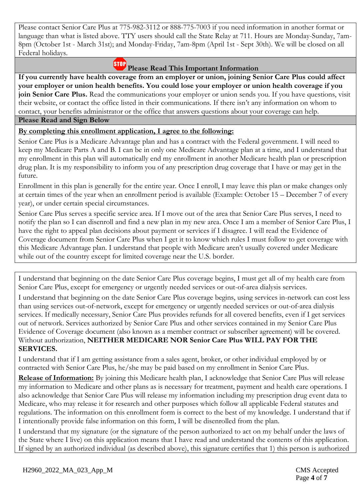Please contact Senior Care Plus at 775-982-3112 or 888-775-7003 if you need information in another format or language than what is listed above. TTY users should call the State Relay at 711. Hours are Monday-Sunday, 7am-8pm (October 1st - March 31st); and Monday-Friday, 7am-8pm (April 1st - Sept 30th). We will be closed on all Federal holidays.

# **Please Read This Important Information**

**If you currently have health coverage from an employer or union, joining Senior Care Plus could affect your employer or union health benefits. You could lose your employer or union health coverage if you join Senior Care Plus.** Read the communications your employer or union sends you. If you have questions, visit their website, or contact the office listed in their communications. If there isn't any information on whom to contact, your benefits administrator or the office that answers questions about your coverage can help.

#### **Please Read and Sign Below**

## **By completing this enrollment application, I agree to the following:**

Senior Care Plus is a Medicare Advantage plan and has a contract with the Federal government. I will need to keep my Medicare Parts A and B. I can be in only one Medicare Advantage plan at a time, and I understand that my enrollment in this plan will automatically end my enrollment in another Medicare health plan or prescription drug plan. It is my responsibility to inform you of any prescription drug coverage that I have or may get in the future.

Enrollment in this plan is generally for the entire year. Once I enroll, I may leave this plan or make changes only at certain times of the year when an enrollment period is available (Example: October 15 – December 7 of every year), or under certain special circumstances.

Senior Care Plus serves a specific service area. If I move out of the area that Senior Care Plus serves, I need to notify the plan so I can disenroll and find a new plan in my new area. Once I am a member of Senior Care Plus, I have the right to appeal plan decisions about payment or services if I disagree. I will read the Evidence of Coverage document from Senior Care Plus when I get it to know which rules I must follow to get coverage with this Medicare Advantage plan. I understand that people with Medicare aren't usually covered under Medicare while out of the country except for limited coverage near the U.S. border.

I understand that beginning on the date Senior Care Plus coverage begins, I must get all of my health care from Senior Care Plus, except for emergency or urgently needed services or out-of-area dialysis services.

I understand that beginning on the date Senior Care Plus coverage begins, using services in-network can cost less than using services out-of-network, except for emergency or urgently needed services or out-of-area dialysis services. If medically necessary, Senior Care Plus provides refunds for all covered benefits, even if I get services out of network. Services authorized by Senior Care Plus and other services contained in my Senior Care Plus Evidence of Coverage document (also known as a member contract or subscriber agreement) will be covered. Without authorization, **NEITHER MEDICARE NOR Senior Care Plus WILL PAY FOR THE SERVICES.** 

I understand that if I am getting assistance from a sales agent, broker, or other individual employed by or contracted with Senior Care Plus, he/she may be paid based on my enrollment in Senior Care Plus.

**Release of Information:** By joining this Medicare health plan, I acknowledge that Senior Care Plus will release my information to Medicare and other plans as is necessary for treatment, payment and health care operations. I also acknowledge that Senior Care Plus will release my information including my prescription drug event data to Medicare, who may release it for research and other purposes which follow all applicable Federal statutes and regulations. The information on this enrollment form is correct to the best of my knowledge. I understand that if I intentionally provide false information on this form, I will be disenrolled from the plan.

I understand that my signature (or the signature of the person authorized to act on my behalf under the laws of the State where I live) on this application means that I have read and understand the contents of this application. If signed by an authorized individual (as described above), this signature certifies that 1) this person is authorized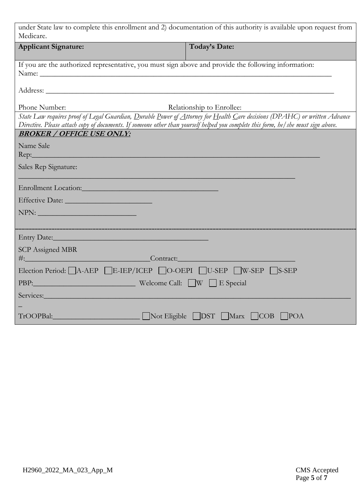| under State law to complete this enrollment and 2) documentation of this authority is available upon request from<br>Medicare.                                                                                                                                  |                               |  |  |  |  |
|-----------------------------------------------------------------------------------------------------------------------------------------------------------------------------------------------------------------------------------------------------------------|-------------------------------|--|--|--|--|
| <b>Applicant Signature:</b>                                                                                                                                                                                                                                     | Today's Date:                 |  |  |  |  |
| If you are the authorized representative, you must sign above and provide the following information:<br>Name: Name:                                                                                                                                             |                               |  |  |  |  |
|                                                                                                                                                                                                                                                                 |                               |  |  |  |  |
| Phone Number:                                                                                                                                                                                                                                                   | Relationship to Enrollee:     |  |  |  |  |
| State Law requires proof of Legal Guardian, Durable Power of Attorney for Health Care decisions (DPAHC) or written Advance<br>Directive. Please attach copy of documents. If someone other than yourself helped you complete this form, he/she must sign above. |                               |  |  |  |  |
| <b>BROKER / OFFICE USE ONLY:</b>                                                                                                                                                                                                                                |                               |  |  |  |  |
| Name Sale                                                                                                                                                                                                                                                       |                               |  |  |  |  |
| $\text{Rep:}\_$                                                                                                                                                                                                                                                 |                               |  |  |  |  |
| Sales Rep Signature:                                                                                                                                                                                                                                            |                               |  |  |  |  |
| Enrollment Location:                                                                                                                                                                                                                                            |                               |  |  |  |  |
|                                                                                                                                                                                                                                                                 |                               |  |  |  |  |
| $\text{NPN:}\underline{\hspace{2cm}}$                                                                                                                                                                                                                           |                               |  |  |  |  |
|                                                                                                                                                                                                                                                                 |                               |  |  |  |  |
|                                                                                                                                                                                                                                                                 |                               |  |  |  |  |
| <b>SCP</b> Assigned MBR                                                                                                                                                                                                                                         |                               |  |  |  |  |
|                                                                                                                                                                                                                                                                 |                               |  |  |  |  |
| Election Period: A-AEP E-IEP/ICEP O-OEPI U-SEP W-SEP S-SEP                                                                                                                                                                                                      |                               |  |  |  |  |
| PBP: Welcome Call: W E Special                                                                                                                                                                                                                                  |                               |  |  |  |  |
| Services: Notes: Notes: No. 1998                                                                                                                                                                                                                                |                               |  |  |  |  |
|                                                                                                                                                                                                                                                                 |                               |  |  |  |  |
| TrOOPBal:                                                                                                                                                                                                                                                       | Not Eligible DST Marx COB POA |  |  |  |  |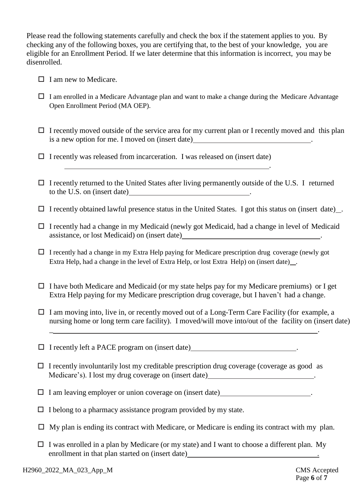Please read the following statements carefully and check the box if the statement applies to you. By checking any of the following boxes, you are certifying that, to the best of your knowledge, you are eligible for an Enrollment Period. If we later determine that this information is incorrect, you may be disenrolled.

- $\Box$  I am new to Medicare.
- $\Box$  I am enrolled in a Medicare Advantage plan and want to make a change during the Medicare Advantage Open Enrollment Period (MA OEP).
- $\Box$  I recently moved outside of the service area for my current plan or I recently moved and this plan is a new option for me. I moved on (insert date)

.

- $\Box$  I recently was released from incarceration. I was released on (insert date)
- $\Box$  I recently returned to the United States after living permanently outside of the U.S. I returned to the U.S. on (insert date) .
- $\Box$  I recently obtained lawful presence status in the United States. I got this status on (insert date).
- $\Box$  I recently had a change in my Medicaid (newly got Medicaid, had a change in level of Medicaid assistance, or lost Medicaid) on (insert date) .
- $\Box$  I recently had a change in my Extra Help paying for Medicare prescription drug coverage (newly got Extra Help, had a change in the level of Extra Help, or lost Extra Help) on (insert date) .
- $\Box$  I have both Medicare and Medicaid (or my state helps pay for my Medicare premiums) or I get Extra Help paying for my Medicare prescription drug coverage, but I haven't had a change.
- $\Box$  I am moving into, live in, or recently moved out of a Long-Term Care Facility (for example, a nursing home or long term care facility). I moved/will move into/out of the facility on (insert date)

 $\Box$  I recently left a PACE program on (insert date)  $\Box$ 

 $\Box$  I recently involuntarily lost my creditable prescription drug coverage (coverage as good as Medicare's). I lost my drug coverage on (insert date) .

\_ .

- $\Box$  I am leaving employer or union coverage on (insert date).
- $\Box$  I belong to a pharmacy assistance program provided by my state.
- $\Box$  My plan is ending its contract with Medicare, or Medicare is ending its contract with my plan.
- $\Box$  I was enrolled in a plan by Medicare (or my state) and I want to choose a different plan. My enrollment in that plan started on (insert date) **...** [*no*]